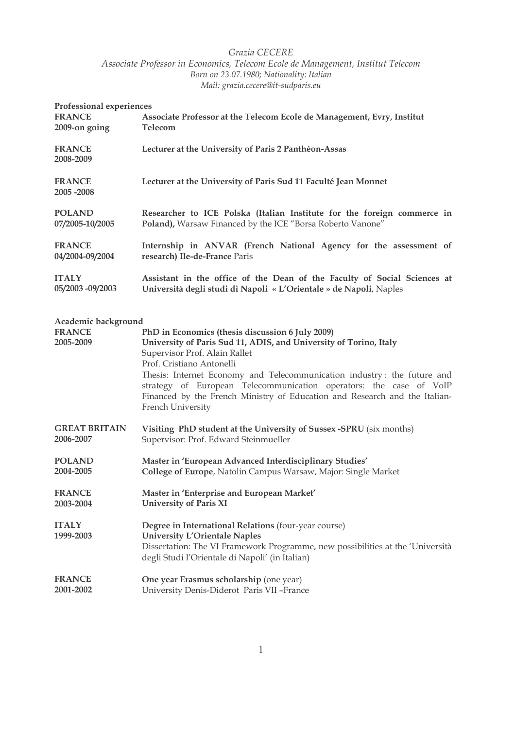# Grazia CECERE

Associate Professor in Economics, Telecom Ecole de Management, Institut Telecom Born on 23.07.1980; Nationality: Italian Mail: grazia.cecere@it-sudparis.eu

| Professional experiences<br><b>FRANCE</b><br>2009-on going | Associate Professor at the Telecom Ecole de Management, Evry, Institut<br>Telecom                                                                                                                                                                                                                                                                                                                                                       |
|------------------------------------------------------------|-----------------------------------------------------------------------------------------------------------------------------------------------------------------------------------------------------------------------------------------------------------------------------------------------------------------------------------------------------------------------------------------------------------------------------------------|
| <b>FRANCE</b><br>2008-2009                                 | Lecturer at the University of Paris 2 Panthéon-Assas                                                                                                                                                                                                                                                                                                                                                                                    |
| <b>FRANCE</b><br>2005-2008                                 | Lecturer at the University of Paris Sud 11 Faculté Jean Monnet                                                                                                                                                                                                                                                                                                                                                                          |
| <b>POLAND</b>                                              | Researcher to ICE Polska (Italian Institute for the foreign commerce in                                                                                                                                                                                                                                                                                                                                                                 |
| 07/2005-10/2005                                            | Poland), Warsaw Financed by the ICE "Borsa Roberto Vanone"                                                                                                                                                                                                                                                                                                                                                                              |
| <b>FRANCE</b>                                              | Internship in ANVAR (French National Agency for the assessment of                                                                                                                                                                                                                                                                                                                                                                       |
| 04/2004-09/2004                                            | research) Ile-de-France Paris                                                                                                                                                                                                                                                                                                                                                                                                           |
| <b>ITALY</b>                                               | Assistant in the office of the Dean of the Faculty of Social Sciences at                                                                                                                                                                                                                                                                                                                                                                |
| 05/2003 -09/2003                                           | Università degli studi di Napoli « L'Orientale » de Napoli, Naples                                                                                                                                                                                                                                                                                                                                                                      |
| Academic background<br><b>FRANCE</b><br>2005-2009          | PhD in Economics (thesis discussion 6 July 2009)<br>University of Paris Sud 11, ADIS, and University of Torino, Italy<br>Supervisor Prof. Alain Rallet<br>Prof. Cristiano Antonelli<br>Thesis: Internet Economy and Telecommunication industry: the future and<br>strategy of European Telecommunication operators: the case of VoIP<br>Financed by the French Ministry of Education and Research and the Italian-<br>French University |
| <b>GREAT BRITAIN</b>                                       | Visiting PhD student at the University of Sussex -SPRU (six months)                                                                                                                                                                                                                                                                                                                                                                     |
| 2006-2007                                                  | Supervisor: Prof. Edward Steinmueller                                                                                                                                                                                                                                                                                                                                                                                                   |
| <b>POLAND</b>                                              | Master in 'European Advanced Interdisciplinary Studies'                                                                                                                                                                                                                                                                                                                                                                                 |
| 2004-2005                                                  | College of Europe, Natolin Campus Warsaw, Major: Single Market                                                                                                                                                                                                                                                                                                                                                                          |
| <b>FRANCE</b>                                              | Master in 'Enterprise and European Market'                                                                                                                                                                                                                                                                                                                                                                                              |
| 2003-2004                                                  | <b>University of Paris XI</b>                                                                                                                                                                                                                                                                                                                                                                                                           |
| <b>ITALY</b><br>1999-2003                                  | Degree in International Relations (four-year course)<br><b>University L'Orientale Naples</b><br>Dissertation: The VI Framework Programme, new possibilities at the 'Università<br>degli Studi l'Orientale di Napoli' (in Italian)                                                                                                                                                                                                       |
| <b>FRANCE</b>                                              | One year Erasmus scholarship (one year)                                                                                                                                                                                                                                                                                                                                                                                                 |
| 2001-2002                                                  | University Denis-Diderot Paris VII -France                                                                                                                                                                                                                                                                                                                                                                                              |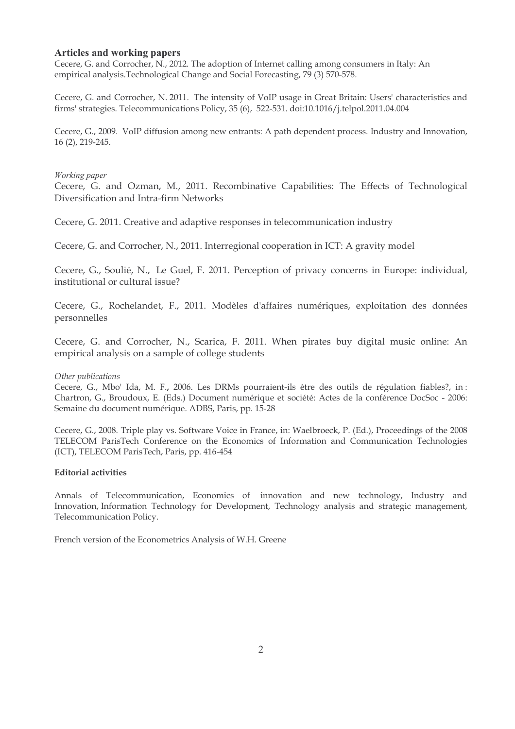# **Articles and working papers**

Cecere, G. and Corrocher, N., 2012. The adoption of Internet calling among consumers in Italy: An empirical analysis. Technological Change and Social Forecasting, 79 (3) 570-578.

Cecere, G. and Corrocher, N. 2011. The intensity of VoIP usage in Great Britain: Users' characteristics and firms' strategies. Telecommunications Policy, 35 (6), 522-531. doi:10.1016/j.telpol.2011.04.004

Cecere, G., 2009. VoIP diffusion among new entrants: A path dependent process. Industry and Innovation, 16 (2), 219-245.

### Working paper

Cecere, G. and Ozman, M., 2011. Recombinative Capabilities: The Effects of Technological Diversification and Intra-firm Networks

Cecere, G. 2011. Creative and adaptive responses in telecommunication industry

Cecere, G. and Corrocher, N., 2011. Interregional cooperation in ICT: A gravity model

Cecere, G., Soulié, N., Le Guel, F. 2011. Perception of privacy concerns in Europe: individual, institutional or cultural issue?

Cecere, G., Rochelandet, F., 2011. Modèles d'affaires numériques, exploitation des données personnelles

Cecere, G. and Corrocher, N., Scarica, F. 2011. When pirates buy digital music online: An empirical analysis on a sample of college students

### Other publications

Cecere, G., Mbo' Ida, M. F., 2006. Les DRMs pourraient-ils être des outils de régulation fiables?, in: Chartron, G., Broudoux, E. (Eds.) Document numérique et société: Actes de la conférence DocSoc - 2006: Semaine du document numérique. ADBS, Paris, pp. 15-28

Cecere, G., 2008. Triple play vs. Software Voice in France, in: Waelbroeck, P. (Ed.), Proceedings of the 2008 TELECOM ParisTech Conference on the Economics of Information and Communication Technologies (ICT), TELECOM ParisTech, Paris, pp. 416-454

### **Editorial activities**

Annals of Telecommunication, Economics of innovation and new technology, Industry and Innovation, Information Technology for Development, Technology analysis and strategic management, Telecommunication Policy.

French version of the Econometrics Analysis of W.H. Greene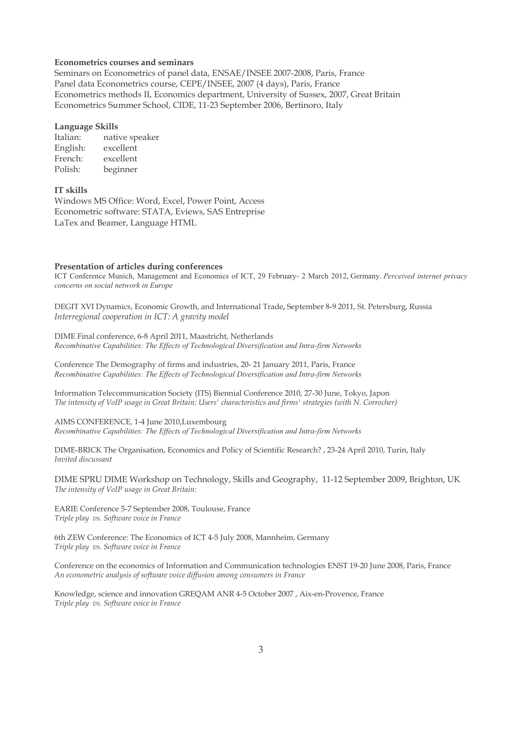### **Econometrics courses and seminars**

Seminars on Econometrics of panel data, ENSAE/INSEE 2007-2008, Paris, France Panel data Econometrics course, CEPE/INSEE, 2007 (4 days), Paris, France Econometrics methods II, Economics department, University of Sussex, 2007, Great Britain Econometrics Summer School, CIDE, 11-23 September 2006, Bertinoro, Italy

#### **Language Skills**

Italian: native speaker English: excellent French<sup>.</sup> excellent Polish: beginner

### **IT** skills

Windows MS Office: Word, Excel, Power Point, Access Econometric software: STATA, Eviews, SAS Entreprise LaTex and Beamer, Language HTML

#### Presentation of articles during conferences

ICT Conference Munich, Management and Economics of ICT, 29 February- 2 March 2012, Germany. Perceived internet privacy concerns on social network in Europe

DEGIT XVI Dynamics, Economic Growth, and International Trade, September 8-9 2011, St. Petersburg, Russia Interregional cooperation in ICT: A gravity model

DIME Final conference, 6-8 April 2011, Maastricht, Netherlands Recombinative Capabilities: The Effects of Technological Diversification and Intra-firm Networks

Conference The Demography of firms and industries, 20-21 January 2011, Paris, France Recombinative Capabilities: The Effects of Technological Diversification and Intra-firm Networks

Information Telecommunication Society (ITS) Biennial Conference 2010, 27-30 June, Tokyo, Japon The intensity of VoIP usage in Great Britain: Users' characteristics and firms' strategies (with N. Corrocher)

AIMS CONFERENCE, 1-4 June 2010, Luxembourg Recombinative Capabilities: The Effects of Technological Diversification and Intra-firm Networks

DIME-BRICK The Organisation, Economics and Policy of Scientific Research?, 23-24 April 2010, Turin, Italy Invited discussant

DIME SPRU DIME Workshop on Technology, Skills and Geography, 11-12 September 2009, Brighton, UK The intensity of VoIP usage in Great Britain:

EARIE Conference 5-7 September 2008, Toulouse, France Triple play vs. Software voice in France

6th ZEW Conference: The Economics of ICT 4-5 July 2008, Mannheim, Germany Triple play vs. Software voice in France

Conference on the economics of Information and Communication technologies ENST 19-20 June 2008, Paris, France An econometric analysis of software voice diffusion among consumers in France

Knowledge, science and innovation GREQAM ANR 4-5 October 2007, Aix-en-Provence, France Triple play vs. Software voice in France